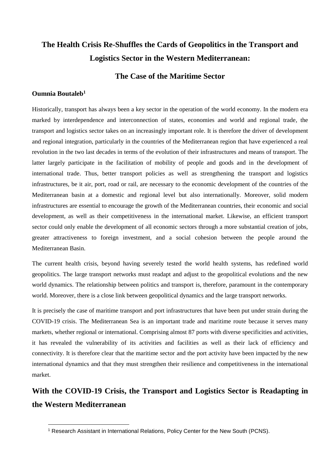# **The Health Crisis Re-Shuffles the Cards of Geopolitics in the Transport and Logistics Sector in the Western Mediterranean:**

### **The Case of the Maritime Sector**

### **Oumnia Boutaleb<sup>1</sup>**

**.** 

Historically, transport has always been a key sector in the operation of the world economy. In the modern era marked by interdependence and interconnection of states, economies and world and regional trade, the transport and logistics sector takes on an increasingly important role. It is therefore the driver of development and regional integration, particularly in the countries of the Mediterranean region that have experienced a real revolution in the two last decades in terms of the evolution of their infrastructures and means of transport. The latter largely participate in the facilitation of mobility of people and goods and in the development of international trade. Thus, better transport policies as well as strengthening the transport and logistics infrastructures, be it air, port, road or rail, are necessary to the economic development of the countries of the Mediterranean basin at a domestic and regional level but also internationally. Moreover, solid modern infrastructures are essential to encourage the growth of the Mediterranean countries, their economic and social development, as well as their competitiveness in the international market. Likewise, an efficient transport sector could only enable the development of all economic sectors through a more substantial creation of jobs, greater attractiveness to foreign investment, and a social cohesion between the people around the Mediterranean Basin.

The current health crisis, beyond having severely tested the world health systems, has redefined world geopolitics. The large transport networks must readapt and adjust to the geopolitical evolutions and the new world dynamics. The relationship between politics and transport is, therefore, paramount in the contemporary world. Moreover, there is a close link between geopolitical dynamics and the large transport networks.

It is precisely the case of maritime transport and port infrastructures that have been put under strain during the COVID-19 crisis. The Mediterranean Sea is an important trade and maritime route because it serves many markets, whether regional or international. Comprising almost 87 ports with diverse specificities and activities, it has revealed the vulnerability of its activities and facilities as well as their lack of efficiency and connectivity. It is therefore clear that the maritime sector and the port activity have been impacted by the new international dynamics and that they must strengthen their resilience and competitiveness in the international market.

## **With the COVID-19 Crisis, the Transport and Logistics Sector is Readapting in the Western Mediterranean**

<sup>1</sup> Research Assistant in International Relations, Policy Center for the New South (PCNS).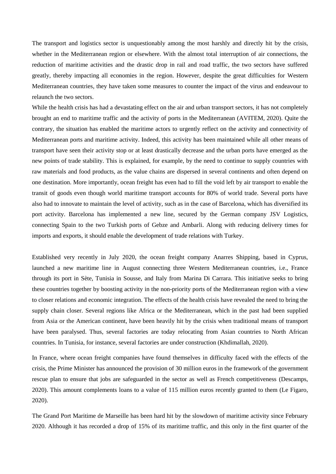The transport and logistics sector is unquestionably among the most harshly and directly hit by the crisis, whether in the Mediterranean region or elsewhere. With the almost total interruption of air connections, the reduction of maritime activities and the drastic drop in rail and road traffic, the two sectors have suffered greatly, thereby impacting all economies in the region. However, despite the great difficulties for Western Mediterranean countries, they have taken some measures to counter the impact of the virus and endeavour to relaunch the two sectors.

While the health crisis has had a devastating effect on the air and urban transport sectors, it has not completely brought an end to maritime traffic and the activity of ports in the Mediterranean (AVITEM, 2020). Quite the contrary, the situation has enabled the maritime actors to urgently reflect on the activity and connectivity of Mediterranean ports and maritime activity. Indeed, this activity has been maintained while all other means of transport have seen their activity stop or at least drastically decrease and the urban ports have emerged as the new points of trade stability. This is explained, for example, by the need to continue to supply countries with raw materials and food products, as the value chains are dispersed in several continents and often depend on one destination. More importantly, ocean freight has even had to fill the void left by air transport to enable the transit of goods even though world maritime transport accounts for 80% of world trade. Several ports have also had to innovate to maintain the level of activity, such as in the case of Barcelona, which has diversified its port activity. Barcelona has implemented a new line, secured by the German company JSV Logistics, connecting Spain to the two Turkish ports of Gebze and Ambarli. Along with reducing delivery times for imports and exports, it should enable the development of trade relations with Turkey.

Established very recently in July 2020, the ocean freight company Anarres Shipping, based in Cyprus, launched a new maritime line in August connecting three Western Mediterranean countries, i.e., France through its port in Sète, Tunisia in Sousse, and Italy from Marina Di Carrara. This initiative seeks to bring these countries together by boosting activity in the non-priority ports of the Mediterranean region with a view to closer relations and economic integration. The effects of the health crisis have revealed the need to bring the supply chain closer. Several regions like Africa or the Mediterranean, which in the past had been supplied from Asia or the American continent, have been heavily hit by the crisis when traditional means of transport have been paralysed. Thus, several factories are today relocating from Asian countries to North African countries. In Tunisia, for instance, several factories are under construction (Khdimallah, 2020).

In France, where ocean freight companies have found themselves in difficulty faced with the effects of the crisis, the Prime Minister has announced the provision of 30 million euros in the framework of the government rescue plan to ensure that jobs are safeguarded in the sector as well as French competitiveness (Descamps, 2020). This amount complements loans to a value of 115 million euros recently granted to them (Le Figaro, 2020).

The Grand Port Maritime de Marseille has been hard hit by the slowdown of maritime activity since February 2020. Although it has recorded a drop of 15% of its maritime traffic, and this only in the first quarter of the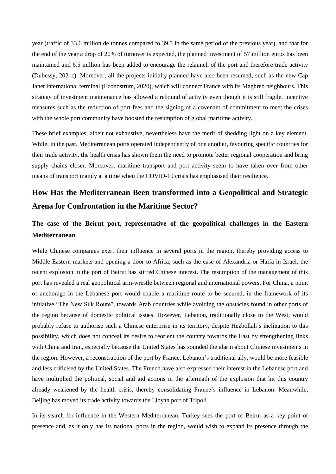year (traffic of 33.6 million de tonnes compared to 39.5 in the same period of the previous year), and that for the end of the year a drop of 20% of turnover is expected, the planned investment of 57 million euros has been maintained and 6.5 million has been added to encourage the relaunch of the port and therefore trade activity (Dubessy, 2021c). Moreover, all the projects initially planned have also been resumed, such as the new Cap Janet international terminal (Econostrum, 2020), which will connect France with its Maghreb neighbours. This strategy of investment maintenance has allowed a rebound of activity even though it is still fragile. Incentive measures such as the reduction of port fees and the signing of a covenant of commitment to meet the crises with the whole port community have boosted the resumption of global maritime activity.

These brief examples, albeit not exhaustive, nevertheless have the merit of shedding light on a key element. While, in the past, Mediterranean ports operated independently of one another, favouring specific countries for their trade activity, the health crisis has shown them the need to promote better regional cooperation and bring supply chains closer. Moreover, maritime transport and port activity seem to have taken over from other means of transport mainly at a time when the COVID-19 crisis has emphasised their resilience.

## **How Has the Mediterranean Been transformed into a Geopolitical and Strategic Arena for Confrontation in the Maritime Sector?**

## **The case of the Beirut port, representative of the geopolitical challenges in the Eastern Mediterranean**

While Chinese companies exert their influence in several ports in the region, thereby providing access to Middle Eastern markets and opening a door to Africa, such as the case of Alexandria or Haifa in Israel, the recent explosion in the port of Beirut has stirred Chinese interest. The resumption of the management of this port has revealed a real geopolitical arm-wrestle between regional and international powers. For China, a point of anchorage in the Lebanese port would enable a maritime route to be secured, in the framework of its initiative "The New Silk Route", towards Arab countries while avoiding the obstacles found in other ports of the region because of domestic political issues. However, Lebanon, traditionally close to the West, would probably refuse to authorise such a Chinese enterprise in its territory, despite Hezbollah's inclination to this possibility, which does not conceal its desire to reorient the country towards the East by strengthening links with China and Iran, especially because the United States has sounded the alarm about Chinese investments in the region. However, a reconstruction of the port by France, Lebanon's traditional ally, would be more feasible and less criticised by the United States. The French have also expressed their interest in the Lebanese port and have multiplied the political, social and aid actions in the aftermath of the explosion that hit this country already weakened by the health crisis, thereby consolidating France's influence in Lebanon. Meanwhile, Beijing has moved its trade activity towards the Libyan port of Tripoli.

In its search for influence in the Western Mediterranean, Turkey sees the port of Beirut as a key point of presence and, as it only has its national ports in the region, would wish to expand its presence through the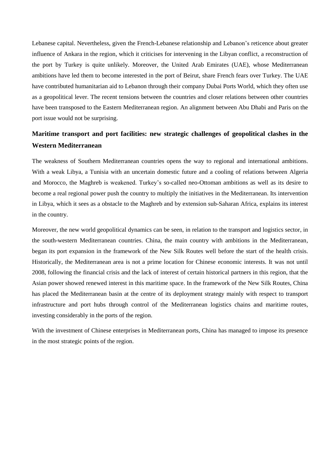Lebanese capital. Nevertheless, given the French-Lebanese relationship and Lebanon's reticence about greater influence of Ankara in the region, which it criticises for intervening in the Libyan conflict, a reconstruction of the port by Turkey is quite unlikely. Moreover, the United Arab Emirates (UAE), whose Mediterranean ambitions have led them to become interested in the port of Beirut, share French fears over Turkey. The UAE have contributed humanitarian aid to Lebanon through their company Dubai Ports World, which they often use as a geopolitical lever. The recent tensions between the countries and closer relations between other countries have been transposed to the Eastern Mediterranean region. An alignment between Abu Dhabi and Paris on the port issue would not be surprising.

### **Maritime transport and port facilities: new strategic challenges of geopolitical clashes in the Western Mediterranean**

The weakness of Southern Mediterranean countries opens the way to regional and international ambitions. With a weak Libya, a Tunisia with an uncertain domestic future and a cooling of relations between Algeria and Morocco, the Maghreb is weakened. Turkey's so-called neo-Ottoman ambitions as well as its desire to become a real regional power push the country to multiply the initiatives in the Mediterranean. Its intervention in Libya, which it sees as a obstacle to the Maghreb and by extension sub-Saharan Africa, explains its interest in the country.

Moreover, the new world geopolitical dynamics can be seen, in relation to the transport and logistics sector, in the south-western Mediterranean countries. China, the main country with ambitions in the Mediterranean, began its port expansion in the framework of the New Silk Routes well before the start of the health crisis. Historically, the Mediterranean area is not a prime location for Chinese economic interests. It was not until 2008, following the financial crisis and the lack of interest of certain historical partners in this region, that the Asian power showed renewed interest in this maritime space. In the framework of the New Silk Routes, China has placed the Mediterranean basin at the centre of its deployment strategy mainly with respect to transport infrastructure and port hubs through control of the Mediterranean logistics chains and maritime routes, investing considerably in the ports of the region.

With the investment of Chinese enterprises in Mediterranean ports, China has managed to impose its presence in the most strategic points of the region.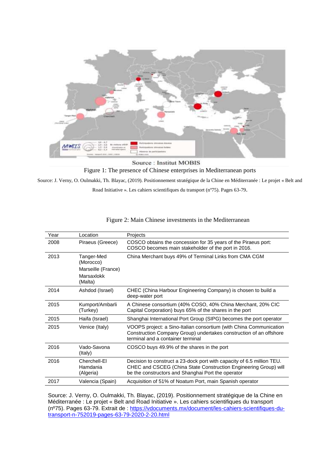

Source : Institut MOBIS Figure 1: The presence of Chinese enterprises in Mediterranean ports

Source: J. Verny, O. Oulmakki, Th. Blayac, (2019). Positionnement stratégique de la Chine en Méditerranée : Le projet « Belt and

Road Initiative ». Les cahiers scientifiques du transport (nº75). Pages 63-79.

| Year | Location                                                               | Projects                                                                                                                                                                                         |
|------|------------------------------------------------------------------------|--------------------------------------------------------------------------------------------------------------------------------------------------------------------------------------------------|
| 2008 | Piraeus (Greece)                                                       | COSCO obtains the concession for 35 years of the Piraeus port:<br>COSCO becomes main stakeholder of the port in 2016.                                                                            |
| 2013 | Tanger-Med<br>(Morocco)<br>Marseille (France)<br>Marsaxlokk<br>(Malta) | China Merchant buys 49% of Terminal Links from CMA CGM                                                                                                                                           |
| 2014 | Ashdod (Israel)                                                        | CHEC (China Harbour Engineering Company) is chosen to build a<br>deep-water port                                                                                                                 |
| 2015 | Kumport/Ambarli<br>(Turkey)                                            | A Chinese consortium (40% COSO, 40% China Merchant, 20% CIC<br>Capital Corporation) buys 65% of the shares in the port                                                                           |
| 2015 | Haifa (Israel)                                                         | Shanghai International Port Group (SIPG) becomes the port operator                                                                                                                               |
| 2015 | Venice (Italy)                                                         | VOOPS project: a Sino-Italian consortium (with China Communication<br>Construction Company Group) undertakes construction of an offshore<br>terminal and a container terminal                    |
| 2016 | Vado-Savona<br>(Italy)                                                 | COSCO buys 49.9% of the shares in the port                                                                                                                                                       |
| 2016 | Cherchell-El<br>Hamdania<br>(Algeria)                                  | Decision to construct a 23-dock port with capacity of 6.5 million TEU.<br>CHEC and CSCEG (China State Construction Engineering Group) will<br>be the constructors and Shanghai Port the operator |
| 2017 | Valencia (Spain)                                                       | Acquisition of 51% of Noatum Port, main Spanish operator                                                                                                                                         |
|      |                                                                        |                                                                                                                                                                                                  |

Figure 2: Main Chinese investments in the Mediterranean

Source: J. Verny, O. Oulmakki, Th. Blayac, (2019). Positionnement stratégique de la Chine en Méditerranée : Le projet « Belt and Road Initiative ». Les cahiers scientifiques du transport (nº75). Pages 63-79. Extrait de : [https://vdocuments.mx/document/les-cahiers-scientifiques-du](https://vdocuments.mx/document/les-cahiers-scientifiques-du-transport-n-752019-pages-63-79-2020-2-20.html)[transport-n-752019-pages-63-79-2020-2-20.html](https://vdocuments.mx/document/les-cahiers-scientifiques-du-transport-n-752019-pages-63-79-2020-2-20.html)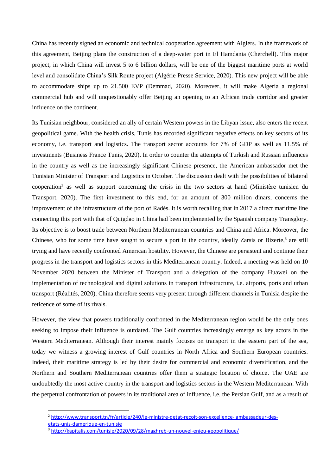China has recently signed an economic and technical cooperation agreement with Algiers. In the framework of this agreement, Beijing plans the construction of a deep-water port in El Hamdania (Cherchell). This major project, in which China will invest 5 to 6 billion dollars, will be one of the biggest maritime ports at world level and consolidate China's Silk Route project (Algérie Presse Service, 2020). This new project will be able to accommodate ships up to 21.500 EVP (Demmad, 2020). Moreover, it will make Algeria a regional commercial hub and will unquestionably offer Beijing an opening to an African trade corridor and greater influence on the continent.

Its Tunisian neighbour, considered an ally of certain Western powers in the Libyan issue, also enters the recent geopolitical game. With the health crisis, Tunis has recorded significant negative effects on key sectors of its economy, i.e. transport and logistics. The transport sector accounts for 7% of GDP as well as 11.5% of investments (Business France Tunis, 2020). In order to counter the attempts of Turkish and Russian influences in the country as well as the increasingly significant Chinese presence, the American ambassador met the Tunisian Minister of Transport and Logistics in October. The discussion dealt with the possibilities of bilateral cooperation<sup>2</sup> as well as support concerning the crisis in the two sectors at hand (Ministère tunisien du Transport, 2020). The first investment to this end, for an amount of 300 million dinars, concerns the improvement of the infrastructure of the port of Radès. It is worth recalling that in 2017 a direct maritime line connecting this port with that of Quigdao in China had been implemented by the Spanish company Transglory. Its objective is to boost trade between Northern Mediterranean countries and China and Africa. Moreover, the Chinese, who for some time have sought to secure a port in the country, ideally Zarsis or Bizerte,<sup>3</sup> are still trying and have recently confronted American hostility. However, the Chinese are persistent and continue their progress in the transport and logistics sectors in this Mediterranean country. Indeed, a meeting was held on 10 November 2020 between the Minister of Transport and a delegation of the company Huawei on the implementation of technological and digital solutions in transport infrastructure, i.e. airports, ports and urban transport (Réalités, 2020). China therefore seems very present through different channels in Tunisia despite the reticence of some of its rivals.

However, the view that powers traditionally confronted in the Mediterranean region would be the only ones seeking to impose their influence is outdated. The Gulf countries increasingly emerge as key actors in the Western Mediterranean. Although their interest mainly focuses on transport in the eastern part of the sea, today we witness a growing interest of Gulf countries in North Africa and Southern European countries. Indeed, their maritime strategy is led by their desire for commercial and economic diversification, and the Northern and Southern Mediterranean countries offer them a strategic location of choice. The UAE are undoubtedly the most active country in the transport and logistics sectors in the Western Mediterranean. With the perpetual confrontation of powers in its traditional area of influence, i.e. the Persian Gulf, and as a result of

**.** 

<sup>2</sup> [http://www.transport.tn/fr/article/240/le-ministre-detat-recoit-son-excellence-lambassadeur-des-](http://www.transport.tn/fr/article/240/le-ministre-detat-recoit-son-excellence-lambassadeur-des-etats-unis-damerique-en-tunisie)

[etats-unis-damerique-en-tunisie](http://www.transport.tn/fr/article/240/le-ministre-detat-recoit-son-excellence-lambassadeur-des-etats-unis-damerique-en-tunisie)

<sup>&</sup>lt;sup>3</sup> <http://kapitalis.com/tunisie/2020/09/28/maghreb-un-nouvel-enjeu-geopolitique/>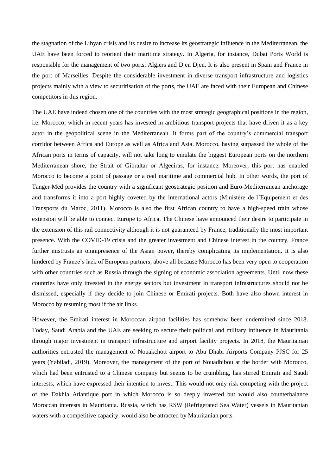the stagnation of the Libyan crisis and its desire to increase its geostrategic influence in the Mediterranean, the UAE have been forced to reorient their maritime strategy. In Algeria, for instance, Dubai Ports World is responsible for the management of two ports, Algiers and Djen Djen. It is also present in Spain and France in the port of Marseilles. Despite the considerable investment in diverse transport infrastructure and logistics projects mainly with a view to securitisation of the ports, the UAE are faced with their European and Chinese competitors in this region.

The UAE have indeed chosen one of the countries with the most strategic geographical positions in the region, i.e. Morocco, which in recent years has invested in ambitious transport projects that have driven it as a key actor in the geopolitical scene in the Mediterranean. It forms part of the country's commercial transport corridor between Africa and Europe as well as Africa and Asia. Morocco, having surpassed the whole of the African ports in terms of capacity, will not take long to emulate the biggest European ports on the northern Mediterranean shore, the Strait of Gibraltar or Algeciras, for instance. Moreover, this port has enabled Morocco to become a point of passage or a real maritime and commercial hub. In other words, the port of Tanger-Med provides the country with a significant geostrategic position and Euro-Mediterranean anchorage and transforms it into a port highly coveted by the international actors (Ministère de l'Equipement et des Transports du Maroc, 2011). Morocco is also the first African country to have a high-speed train whose extension will be able to connect Europe to Africa. The Chinese have announced their desire to participate in the extension of this rail connectivity although it is not guaranteed by France, traditionally the most important presence. With the COVID-19 crisis and the greater investment and Chinese interest in the country, France further mistrusts an omnipresence of the Asian power, thereby complicating its implementation. It is also hindered by France's lack of European partners, above all because Morocco has been very open to cooperation with other countries such as Russia through the signing of economic association agreements. Until now these countries have only invested in the energy sectors but investment in transport infrastructures should not be dismissed, especially if they decide to join Chinese or Emirati projects. Both have also shown interest in Morocco by resuming most if the air links.

However, the Emirati interest in Moroccan airport facilities has somehow been undermined since 2018. Today, Saudi Arabia and the UAE are seeking to secure their political and military influence in Mauritania through major investment in transport infrastructure and airport facility projects. In 2018, the Mauritanian authorities entrusted the management of Nouakchott airport to Abu Dhabi Airports Company PJSC for 25 years (Yabiladi, 2019). Moreover, the management of the port of Nouadhibou at the border with Morocco, which had been entrusted to a Chinese company but seems to be crumbling, has stirred Emirati and Saudi interests, which have expressed their intention to invest. This would not only risk competing with the project of the Dakhla Atlantique port in which Morocco is so deeply invested but would also counterbalance Moroccan interests in Mauritania. Russia, which has RSW (Refrigerated Sea Water) vessels in Mauritanian waters with a competitive capacity, would also be attracted by Mauritanian ports.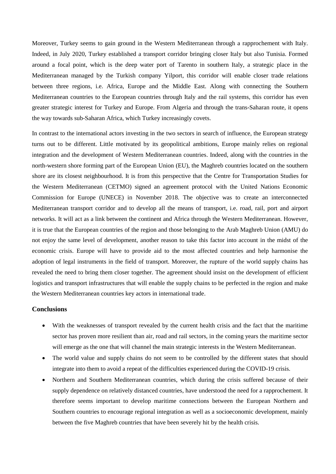Moreover, Turkey seems to gain ground in the Western Mediterranean through a rapprochement with Italy. Indeed, in July 2020, Turkey established a transport corridor bringing closer Italy but also Tunisia. Formed around a focal point, which is the deep water port of Tarento in southern Italy, a strategic place in the Mediterranean managed by the Turkish company Yilport, this corridor will enable closer trade relations between three regions, i.e. Africa, Europe and the Middle East. Along with connecting the Southern Mediterranean countries to the European countries through Italy and the rail systems, this corridor has even greater strategic interest for Turkey and Europe. From Algeria and through the trans-Saharan route, it opens the way towards sub-Saharan Africa, which Turkey increasingly covets.

In contrast to the international actors investing in the two sectors in search of influence, the European strategy turns out to be different. Little motivated by its geopolitical ambitions, Europe mainly relies on regional integration and the development of Western Mediterranean countries. Indeed, along with the countries in the north-western shore forming part of the European Union (EU), the Maghreb countries located on the southern shore are its closest neighbourhood. It is from this perspective that the Centre for Transportation Studies for the Western Mediterranean (CETMO) signed an agreement protocol with the United Nations Economic Commission for Europe (UNECE) in November 2018. The objective was to create an interconnected Mediterranean transport corridor and to develop all the means of transport, i.e. road, rail, port and airport networks. It will act as a link between the continent and Africa through the Western Mediterranean. However, it is true that the European countries of the region and those belonging to the Arab Maghreb Union (AMU) do not enjoy the same level of development, another reason to take this factor into account in the midst of the economic crisis. Europe will have to provide aid to the most affected countries and help harmonise the adoption of legal instruments in the field of transport. Moreover, the rupture of the world supply chains has revealed the need to bring them closer together. The agreement should insist on the development of efficient logistics and transport infrastructures that will enable the supply chains to be perfected in the region and make the Western Mediterranean countries key actors in international trade.

#### **Conclusions**

- With the weaknesses of transport revealed by the current health crisis and the fact that the maritime sector has proven more resilient than air, road and rail sectors, in the coming years the maritime sector will emerge as the one that will channel the main strategic interests in the Western Mediterranean.
- The world value and supply chains do not seem to be controlled by the different states that should integrate into them to avoid a repeat of the difficulties experienced during the COVID-19 crisis.
- Northern and Southern Mediterranean countries, which during the crisis suffered because of their supply dependence on relatively distanced countries, have understood the need for a rapprochement. It therefore seems important to develop maritime connections between the European Northern and Southern countries to encourage regional integration as well as a socioeconomic development, mainly between the five Maghreb countries that have been severely hit by the health crisis.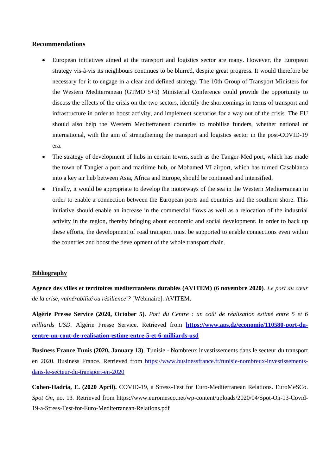### **Recommendations**

- European initiatives aimed at the transport and logistics sector are many. However, the European strategy vis-à-vis its neighbours continues to be blurred, despite great progress. It would therefore be necessary for it to engage in a clear and defined strategy. The 10th Group of Transport Ministers for the Western Mediterranean (GTMO 5+5) Ministerial Conference could provide the opportunity to discuss the effects of the crisis on the two sectors, identify the shortcomings in terms of transport and infrastructure in order to boost activity, and implement scenarios for a way out of the crisis. The EU should also help the Western Mediterranean countries to mobilise funders, whether national or international, with the aim of strengthening the transport and logistics sector in the post-COVID-19 era.
- The strategy of development of hubs in certain towns, such as the Tanger-Med port, which has made the town of Tangier a port and maritime hub, or Mohamed VI airport, which has turned Casablanca into a key air hub between Asia, Africa and Europe, should be continued and intensified.
- Finally, it would be appropriate to develop the motorways of the sea in the Western Mediterranean in order to enable a connection between the European ports and countries and the southern shore. This initiative should enable an increase in the commercial flows as well as a relocation of the industrial activity in the region, thereby bringing about economic and social development. In order to back up these efforts, the development of road transport must be supported to enable connections even within the countries and boost the development of the whole transport chain.

#### **Bibliography**

**Agence des villes et territoires méditerranéens durables (AVITEM) (6 novembre 2020)**. *Le port au cœur de la crise, vulnérabilité ou résilience ?* [Webinaire]. AVITEM.

**Algérie Presse Service (2020, October 5)**. *Port du Centre : un coût de réalisation estimé entre 5 et 6 milliards USD.* Algérie Presse Service. Retrieved from **[https://www.aps.dz/economie/110580-port-du](https://www.aps.dz/economie/110580-port-du-centre-un-cout-de-realisation-estime-entre-5-et-6-milliards-usd)[centre-un-cout-de-realisation-estime-entre-5-et-6-milliards-usd](https://www.aps.dz/economie/110580-port-du-centre-un-cout-de-realisation-estime-entre-5-et-6-milliards-usd)**

**Business France Tunis (2020, January 13)**. Tunisie - Nombreux investissements dans le secteur du transport en 2020. Business France. Retrieved from [https://www.businessfrance.fr/tunisie-nombreux-investissements](https://www.businessfrance.fr/tunisie-nombreux-investissements-dans-le-secteur-du-transport-en-2020)[dans-le-secteur-du-transport-en-2020](https://www.businessfrance.fr/tunisie-nombreux-investissements-dans-le-secteur-du-transport-en-2020)

**Cohen-Hadria, E. (2020 April).** COVID-19, a Stress-Test for Euro-Mediterranean Relations. EuroMeSCo. *Spot On*, no. 13*.* Retrieved from https://www.euromesco.net/wp-content/uploads/2020/04/Spot-On-13-Covid-19-a-Stress-Test-for-Euro-Mediterranean-Relations.pdf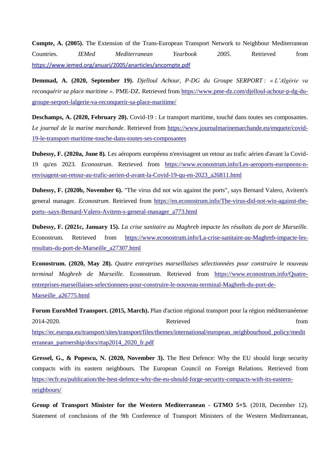**Compte, A. (2005).** The Extension of the Trans-European Transport Network to Neighbour Mediterranean Countries*. IEMed Mediterranean Yearbook 2005*. Retrieved from <https://www.iemed.org/anuari/2005/anarticles/ancompte.pdf>

**Demmad, A. (2020, September 19).** *Djelloul Achour, P-DG du Groupe SERPORT : « L'Algérie va reconquérir sa place maritime ».* PME-DZ. Retrieved from [https://www.pme-dz.com/djelloul-achour-p-dg-du](https://www.pme-dz.com/djelloul-achour-p-dg-du-groupe-serport-lalgerie-va-reconquerir-sa-place-maritime/)[groupe-serport-lalgerie-va-reconquerir-sa-place-maritime/](https://www.pme-dz.com/djelloul-achour-p-dg-du-groupe-serport-lalgerie-va-reconquerir-sa-place-maritime/)

**Deschamps, A. (2020, February 20).** Covid-19 : Le transport maritime, touché dans toutes ses composantes*. Le journal de la marine marchande*. Retrieved from [https://www.journalmarinemarchande.eu/enquete/covid-](https://www.journalmarinemarchande.eu/enquete/covid-19-le-transport-maritime-touche-dans-toutes-ses-composantes)[19-le-transport-maritime-touche-dans-toutes-ses-composantes](https://www.journalmarinemarchande.eu/enquete/covid-19-le-transport-maritime-touche-dans-toutes-ses-composantes)

**Dubessy, F. (2020a, June 8)***.* Les aéroports européens n'envisagent un retour au trafic aérien d'avant la Covid-19 qu'en 2023*. Econostrum*. Retrieved from [https://www.econostrum.info/Les-aeroports-europeens-n](https://www.econostrum.info/Les-aeroports-europeens-n-envisagent-un-retour-au-trafic-aerien-d-avant-la-Covid-19-qu-en-2023_a26811.html)[envisagent-un-retour-au-trafic-aerien-d-avant-la-Covid-19-qu-en-2023\\_a26811.html](https://www.econostrum.info/Les-aeroports-europeens-n-envisagent-un-retour-au-trafic-aerien-d-avant-la-Covid-19-qu-en-2023_a26811.html) 

**Dubessy, F. (2020b, November 6).** "The virus did not win against the ports", says Bernard Valero, Avitem's general manager*. Econostrum*. Retrieved from [https://en.econostrum.info/The-virus-did-not-win-against-the](https://en.econostrum.info/The-virus-did-not-win-against-the-ports--says-Bernard-Valero-Avitem-s-general-manager_a773.html)[ports--says-Bernard-Valero-Avitem-s-general-manager\\_a773.html](https://en.econostrum.info/The-virus-did-not-win-against-the-ports--says-Bernard-Valero-Avitem-s-general-manager_a773.html)

**Dubessy, F. (2021c, January 15).** *La crise sanitaire au Maghreb impacte les résultats du port de Marseille.* Econostrum. Retrieved from [https://www.econostrum.info/La-crise-sanitaire-au-Maghreb-impacte-les](https://www.econostrum.info/La-crise-sanitaire-au-Maghreb-impacte-les-resultats-du-port-de-Marseille_a27307.html)[resultats-du-port-de-Marseille\\_a27307.html](https://www.econostrum.info/La-crise-sanitaire-au-Maghreb-impacte-les-resultats-du-port-de-Marseille_a27307.html)

**Econostrum. (2020, May 28).** *Quatre entreprises marseillaises sélectionnées pour construire le nouveau terminal Maghreb de Marseille.* Econostrum. Retrieved from [https://www.econostrum.info/Quatre](https://www.econostrum.info/Quatre-entreprises-marseillaises-selectionnees-pour-construire-le-nouveau-terminal-Maghreb-du-port-de-Marseille_a26775.html)[entreprises-marseillaises-selectionnees-pour-construire-le-nouveau-terminal-Maghreb-du-port-de-](https://www.econostrum.info/Quatre-entreprises-marseillaises-selectionnees-pour-construire-le-nouveau-terminal-Maghreb-du-port-de-Marseille_a26775.html)[Marseille\\_a26775.html](https://www.econostrum.info/Quatre-entreprises-marseillaises-selectionnees-pour-construire-le-nouveau-terminal-Maghreb-du-port-de-Marseille_a26775.html)

**Forum EuroMed Transport. (2015, March).** Plan d'action régional transport pour la région méditerranéenne 2014-2020*.* Retrieved from [https://ec.europa.eu/transport/sites/transport/files/themes/international/european\\_neighbourhood\\_policy/medit](https://ec.europa.eu/transport/sites/transport/files/themes/international/european_neighbourhood_policy/mediterranean_partnership/docs/rtap2014_2020_fr.pdf) [erranean\\_partnership/docs/rtap2014\\_2020\\_fr.pdf](https://ec.europa.eu/transport/sites/transport/files/themes/international/european_neighbourhood_policy/mediterranean_partnership/docs/rtap2014_2020_fr.pdf)

**Gressel, G., & Popescu, N. (2020, November 3).** The Best Defence: Why the EU should forge security compacts with its eastern neighbours*.* The European Council on Foreign Relations. Retrieved from [https://ecfr.eu/publication/the-best-defence-why-the-eu-should-forge-security-compacts-with-its-eastern](https://ecfr.eu/publication/the-best-defence-why-the-eu-should-forge-security-compacts-with-its-eastern-neighbours/)[neighbours/](https://ecfr.eu/publication/the-best-defence-why-the-eu-should-forge-security-compacts-with-its-eastern-neighbours/)

**Group of Transport Minister for the Western Mediterranean - GTMO 5+5**. (2018, December 12). Statement of conclusions of the 9th Conference of Transport Ministers of the Western Mediterranean*,*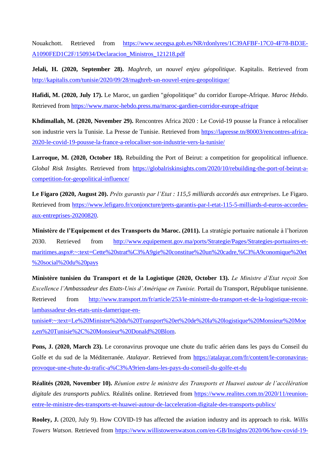Nouakchott. Retrieved from [https://www.secegsa.gob.es/NR/rdonlyres/1C39AFBF-17C0-4F78-BD3E-](https://www.secegsa.gob.es/NR/rdonlyres/1C39AFBF-17C0-4F78-BD3E-A1090FED1C2F/150934/Declaracion_Ministros_121218.pdf)[A1090FED1C2F/150934/Declaracion\\_Ministros\\_121218.pdf](https://www.secegsa.gob.es/NR/rdonlyres/1C39AFBF-17C0-4F78-BD3E-A1090FED1C2F/150934/Declaracion_Ministros_121218.pdf)

**Jelali, H. (2020, September 28).** *Maghreb, un nouvel enjeu géopolitique*. Kapitalis. Retrieved from <http://kapitalis.com/tunisie/2020/09/28/maghreb-un-nouvel-enjeu-geopolitique/>

**Hafidi, M. (2020, July 17).** Le Maroc, un gardien "géopolitique" du corridor Europe-Afrique*. Maroc Hebdo*. Retrieved from <https://www.maroc-hebdo.press.ma/maroc-gardien-corridor-europe-afrique>

**Khdimallah, M. (2020, November 29).** Rencontres Africa 2020 : Le Covid-19 pousse la France à relocaliser son industrie vers la Tunisie. La Presse de Tunisie. Retrieved from [https://lapresse.tn/80003/rencontres-africa-](https://lapresse.tn/80003/rencontres-africa-2020-le-covid-19-pousse-la-france-a-relocaliser-son-industrie-vers-la-tunisie/)[2020-le-covid-19-pousse-la-france-a-relocaliser-son-industrie-vers-la-tunisie/](https://lapresse.tn/80003/rencontres-africa-2020-le-covid-19-pousse-la-france-a-relocaliser-son-industrie-vers-la-tunisie/)

Larroque, M. (2020, October 18). Rebuilding the Port of Beirut: a competition for geopolitical influence. *Global Risk Insights*. Retrieved from [https://globalriskinsights.com/2020/10/rebuilding-the-port-of-beirut-a](https://globalriskinsights.com/2020/10/rebuilding-the-port-of-beirut-a-competition-for-geopolitical-influence/)[competition-for-geopolitical-influence/](https://globalriskinsights.com/2020/10/rebuilding-the-port-of-beirut-a-competition-for-geopolitical-influence/)

**Le Figaro (2020, August 20).** *Prêts garantis par l'Etat : 115,5 milliards accordés aux entreprises*. Le Figaro. Retrieved from https://www.lefigaro.fr/conjoncture/prets-garantis-par-l-etat-115-5-milliards-d-euros-accordesaux-entreprises-20200820.

**Ministère de l'Equipement et des Transports du Maroc. (2011).** La stratégie portuaire nationale à l'horizon 2030. Retrieved from [http://www.equipement.gov.ma/ports/Strategie/Pages/Strategies-portuaires-et](http://www.equipement.gov.ma/ports/Strategie/Pages/Strategies-portuaires-et-maritimes.aspx#:~:text=Cette%20strat%C3%A9gie%20constitue%20un%20cadre,%C3%A9conomique%20et%20social%20du%20pays)[maritimes.aspx#:~:text=Cette%20strat%C3%A9gie%20constitue%20un%20cadre,%C3%A9conomique%20et](http://www.equipement.gov.ma/ports/Strategie/Pages/Strategies-portuaires-et-maritimes.aspx#:~:text=Cette%20strat%C3%A9gie%20constitue%20un%20cadre,%C3%A9conomique%20et%20social%20du%20pays) [%20social%20du%20pays](http://www.equipement.gov.ma/ports/Strategie/Pages/Strategies-portuaires-et-maritimes.aspx#:~:text=Cette%20strat%C3%A9gie%20constitue%20un%20cadre,%C3%A9conomique%20et%20social%20du%20pays)

**Ministère tunisien du Transport et de la Logistique (2020, October 13).** *Le Ministre d'Etat reçoit Son Excellence l'Ambassadeur des Etats-Unis d'Amérique en Tunisie.* Portail du Transport, République tunisienne. Retrieved from [http://www.transport.tn/fr/article/253/le-ministre-du-transport-et-de-la-logistique-recoit](http://www.transport.tn/fr/article/253/le-ministre-du-transport-et-de-la-logistique-recoit-lambassadeur-des-etats-unis-damerique-en-tunisie#:~:text=Le%20Ministre%20du%20Transport%20et%20de%20la%20logistique%20Monsieur%20Moez,en%20Tunisie%2C%20Monsieur%20Donald%20Blom)[lambassadeur-des-etats-unis-damerique-en-](http://www.transport.tn/fr/article/253/le-ministre-du-transport-et-de-la-logistique-recoit-lambassadeur-des-etats-unis-damerique-en-tunisie#:~:text=Le%20Ministre%20du%20Transport%20et%20de%20la%20logistique%20Monsieur%20Moez,en%20Tunisie%2C%20Monsieur%20Donald%20Blom)

[tunisie#:~:text=Le%20Ministre%20du%20Transport%20et%20de%20la%20logistique%20Monsieur%20Moe](http://www.transport.tn/fr/article/253/le-ministre-du-transport-et-de-la-logistique-recoit-lambassadeur-des-etats-unis-damerique-en-tunisie#:~:text=Le%20Ministre%20du%20Transport%20et%20de%20la%20logistique%20Monsieur%20Moez,en%20Tunisie%2C%20Monsieur%20Donald%20Blom) [z,en%20Tunisie%2C%20Monsieur%20Donald%20Blom.](http://www.transport.tn/fr/article/253/le-ministre-du-transport-et-de-la-logistique-recoit-lambassadeur-des-etats-unis-damerique-en-tunisie#:~:text=Le%20Ministre%20du%20Transport%20et%20de%20la%20logistique%20Monsieur%20Moez,en%20Tunisie%2C%20Monsieur%20Donald%20Blom)

**Pons, J. (2020, March 23).** Le coronavirus provoque une chute du trafic aérien dans les pays du Conseil du Golfe et du sud de la Méditerranée*. Atalayar*. Retrieved from [https://atalayar.com/fr/content/le-coronavirus](https://atalayar.com/fr/content/le-coronavirus-provoque-une-chute-du-trafic-a%C3%A9rien-dans-les-pays-du-conseil-du-golfe-et-du)[provoque-une-chute-du-trafic-a%C3%A9rien-dans-les-pays-du-conseil-du-golfe-et-du](https://atalayar.com/fr/content/le-coronavirus-provoque-une-chute-du-trafic-a%C3%A9rien-dans-les-pays-du-conseil-du-golfe-et-du)

**Réalités (2020, November 10).** *Réunion entre le ministre des Transports et Huawei autour de l'accélération digitale des transports publics.* Réalités online. Retrieved from [https://www.realites.com.tn/2020/11/reunion](https://www.realites.com.tn/2020/11/reunion-entre-le-ministre-des-transports-et-huawei-autour-de-lacceleration-digitale-des-transports-publics/)[entre-le-ministre-des-transports-et-huawei-autour-de-lacceleration-digitale-des-transports-publics/](https://www.realites.com.tn/2020/11/reunion-entre-le-ministre-des-transports-et-huawei-autour-de-lacceleration-digitale-des-transports-publics/)

**Rooley, J.** (2020, July 9). How COVID-19 has affected the aviation industry and its approach to risk. *Willis Towers Watson*. Retrieved from [https://www.willistowerswatson.com/en-GB/Insights/2020/06/how-covid-19-](https://www.willistowerswatson.com/en-GB/Insights/2020/06/how-covid-19-has-affected-the-aviation-industry?fbclid=IwAR0d5tgHO_wVeblHd4aga7iChXap0IgtKQTHZOxw5sGobQMCloaHJnHKjUU)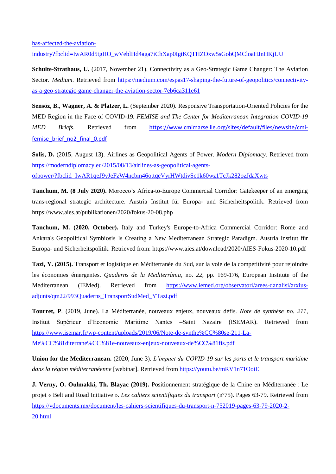[has-affected-the-aviation-](https://www.willistowerswatson.com/en-GB/Insights/2020/06/how-covid-19-has-affected-the-aviation-industry?fbclid=IwAR0d5tgHO_wVeblHd4aga7iChXap0IgtKQTHZOxw5sGobQMCloaHJnHKjUU)

industry?fbclid=IwAR0d5tgHO\_wVeblHd4aga7iChXap0IgtKOTHZOxw5sGobOMCloaHJnHKjUU

**Schulte-Strathaus, U.** (2017, November 21). Connectivity as a Geo-Strategic Game Changer: The Aviation Sector. *Medium*. Retrieved from [https://medium.com/espas17-shaping-the-future-of-geopolitics/connectivity](https://medium.com/espas17-shaping-the-future-of-geopolitics/connectivity-as-a-geo-strategic-game-changer-the-aviation-sector-7eb6ca311e61)[as-a-geo-strategic-game-changer-the-aviation-sector-7eb6ca311e61](https://medium.com/espas17-shaping-the-future-of-geopolitics/connectivity-as-a-geo-strategic-game-changer-the-aviation-sector-7eb6ca311e61)

**Sensöz, B., Wagner, A. & Platzer, L.** (September 2020). Responsive Transportation-Oriented Policies for the MED Region in the Face of COVID-19*. FEMISE and The Center for Mediterranean Integration COVID-19 MED Briefs*. Retrieved from [https://www.cmimarseille.org/sites/default/files/newsite/cmi](https://www.cmimarseille.org/sites/default/files/newsite/cmi-femise_brief_no2_final_0.pdf)femise brief no2 final 0.pdf

**Solis, D.** (2015, August 13). Airlines as Geopolitical Agents of Power*. Modern Diplomacy*. Retrieved from [https://moderndiplomacy.eu/2015/08/13/airlines-as-geopolitical-agents](https://moderndiplomacy.eu/2015/08/13/airlines-as-geopolitical-agents-ofpower/?fbclid=IwAR1qeJ9yJeFzW4ncbm46ottqeVyrHWtdivSc1k60wz1TcJk282ozJdaXwts)[ofpower/?fbclid=IwAR1qeJ9yJeFzW4ncbm46ottqeVyrHWtdivSc1k60wz1TcJk282ozJdaXwts](https://moderndiplomacy.eu/2015/08/13/airlines-as-geopolitical-agents-ofpower/?fbclid=IwAR1qeJ9yJeFzW4ncbm46ottqeVyrHWtdivSc1k60wz1TcJk282ozJdaXwts)

**Tanchum, M. (8 July 2020).** Morocco's Africa-to-Europe Commercial Corridor: Gatekeeper of an emerging trans-regional strategic architecture. Austria Institut für Europa- und Sicherheitspolitik. Retrieved from https://www.aies.at/publikationen/2020/fokus-20-08.php

**Tanchum, M. (2020, October).** Italy and Turkey's Europe-to-Africa Commercial Corridor: Rome and Ankara's Geopolitical Symbiosis Is Creating a New Mediterranean Strategic Paradigm*.* Austria Institut für Europa- und Sicherheitspolitik. Retrieved from: https://www.aies.at/download/2020/AIES-Fokus-2020-10.pdf

**Tazi, Y. (2015).** Transport et logistique en Méditerranée du Sud, sur la voie de la compétitivité pour rejoindre les économies émergentes. *Quaderns de la Mediterrània*, no. *22*, pp. 169-176, European Institute of the Mediterranean (IEMed). Retrieved from [https://www.iemed.org/observatori/arees-danalisi/arxius](https://www.iemed.org/observatori/arees-danalisi/arxius-adjunts/qm22/993Quaderns_TransportSudMed_YTazi.pdf)[adjunts/qm22/993Quaderns\\_TransportSudMed\\_YTazi.pdf](https://www.iemed.org/observatori/arees-danalisi/arxius-adjunts/qm22/993Quaderns_TransportSudMed_YTazi.pdf)

**Tourret, P**. (2019, June). La Méditerranée, nouveaux enjeux, nouveaux défis. *Note de synthèse no. 211*, Institut Supérieur d'Economie Maritime Nantes –Saint Nazaire (ISEMAR). Retrieved from [https://www.isemar.fr/wp-content/uploads/2019/06/Note-de-synthe%CC%80se-211-La-](https://www.isemar.fr/wp-content/uploads/2019/06/Note-de-synthe%CC%80se-211-La-Me%CC%81diterrane%CC%81e-nouveaux-enjeux-nouveaux-de%CC%81fis.pdf)[Me%CC%81diterrane%CC%81e-nouveaux-enjeux-nouveaux-de%CC%81fis.pdf](https://www.isemar.fr/wp-content/uploads/2019/06/Note-de-synthe%CC%80se-211-La-Me%CC%81diterrane%CC%81e-nouveaux-enjeux-nouveaux-de%CC%81fis.pdf)

**Union for the Mediterranean.** (2020, June 3). *L'impact du COVID-19 sur les ports et le transport maritime dans la région méditerranéenne* [webinar]. Retrieved from <https://youtu.be/mRV1n71OoiE>

**J. Verny, O. Oulmakki, Th. Blayac (2019).** Positionnement stratégique de la Chine en Méditerranée : Le projet « Belt and Road Initiative ». *Les cahiers scientifiques du transport* (nº75). Pages 63-79. Retrieved from [https://vdocuments.mx/document/les-cahiers-scientifiques-du-transport-n-752019-pages-63-79-2020-2-](https://vdocuments.mx/document/les-cahiers-scientifiques-du-transport-n-752019-pages-63-79-2020-2-20.html) [20.html](https://vdocuments.mx/document/les-cahiers-scientifiques-du-transport-n-752019-pages-63-79-2020-2-20.html)